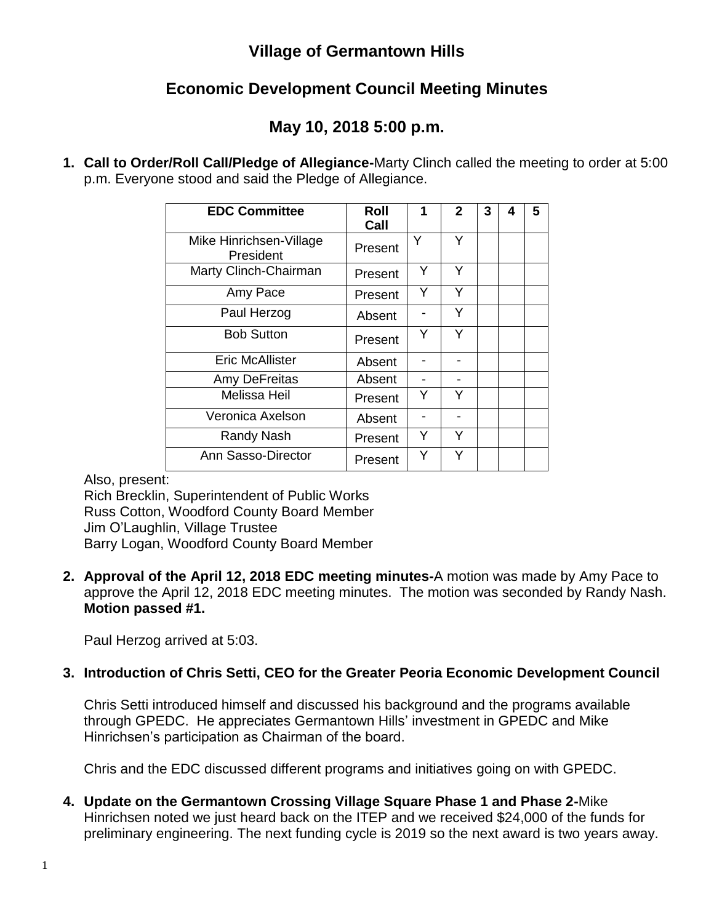## **Village of Germantown Hills**

## **Economic Development Council Meeting Minutes**

## **May 10, 2018 5:00 p.m.**

**1. Call to Order/Roll Call/Pledge of Allegiance-**Marty Clinch called the meeting to order at 5:00 p.m. Everyone stood and said the Pledge of Allegiance.

| <b>EDC Committee</b>                 | Roll<br>Call | 1 | $\mathbf{2}$ | 3 | 4 | 5 |
|--------------------------------------|--------------|---|--------------|---|---|---|
| Mike Hinrichsen-Village<br>President | Present      | Y | Υ            |   |   |   |
| Marty Clinch-Chairman                | Present      | Y | Y            |   |   |   |
| Amy Pace                             | Present      | Y | Y            |   |   |   |
| Paul Herzog                          | Absent       |   | Y            |   |   |   |
| <b>Bob Sutton</b>                    | Present      | Y | Y            |   |   |   |
| <b>Eric McAllister</b>               | Absent       |   |              |   |   |   |
| Amy DeFreitas                        | Absent       |   |              |   |   |   |
| <b>Melissa Heil</b>                  | Present      | Y | Y            |   |   |   |
| Veronica Axelson                     | Absent       |   |              |   |   |   |
| Randy Nash                           | Present      | Y | Y            |   |   |   |
| Ann Sasso-Director                   | Present      | Y | Υ            |   |   |   |

Also, present:

Rich Brecklin, Superintendent of Public Works Russ Cotton, Woodford County Board Member Jim O'Laughlin, Village Trustee Barry Logan, Woodford County Board Member

**2. Approval of the April 12, 2018 EDC meeting minutes-**A motion was made by Amy Pace to approve the April 12, 2018 EDC meeting minutes. The motion was seconded by Randy Nash. **Motion passed #1.**

Paul Herzog arrived at 5:03.

## **3. Introduction of Chris Setti, CEO for the Greater Peoria Economic Development Council**

Chris Setti introduced himself and discussed his background and the programs available through GPEDC. He appreciates Germantown Hills' investment in GPEDC and Mike Hinrichsen's participation as Chairman of the board.

Chris and the EDC discussed different programs and initiatives going on with GPEDC.

**4. Update on the Germantown Crossing Village Square Phase 1 and Phase 2-**Mike Hinrichsen noted we just heard back on the ITEP and we received \$24,000 of the funds for preliminary engineering. The next funding cycle is 2019 so the next award is two years away.